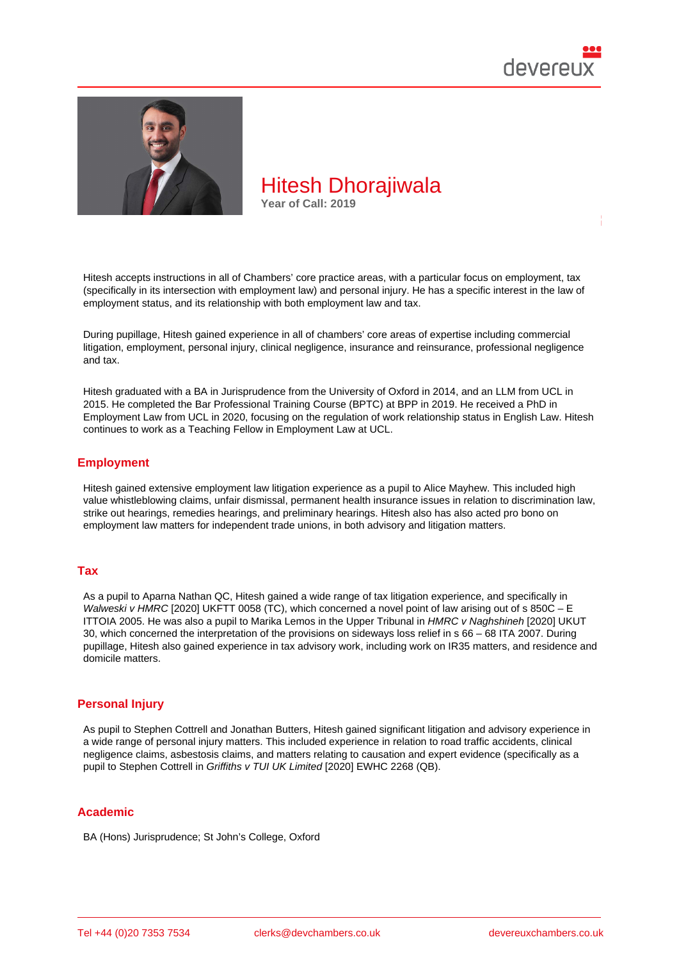

Hitesh accepts instructions in all of Chambers' core practice areas, with a particular focus on employment, tax (specifically in its intersection with employment law) and personal injury. He has a specific interest in the law of employment status, and its relationship with both employment law and tax.

During pupillage, Hitesh gained experience in all of chambers' core areas of expertise including commercial litigation, employment, personal injury, clinical negligence, insurance and reinsurance, professional negligence and tax.

Hitesh graduated with a BA in Jurisprudence from the University of Oxford in 2014, and an LLM from UCL in 2015. He completed the Bar Professional Training Course (BPTC) at BPP in 2019. He received a PhD in Employment Law from UCL in 2020, focusing on the regulation of work relationship status in English Law. Hitesh continues to work as a Teaching Fellow in Employment Law at UCL.

## Employment

Hitesh gained extensive employment law litigation experience as a pupil to Alice Mayhew. This included high value whistleblowing claims, unfair dismissal, permanent health insurance issues in relation to discrimination law, strike out hearings, remedies hearings, and preliminary hearings. Hitesh also has also acted pro bono on employment law matters for independent trade unions, in both advisory and litigation matters.

### Tax

As a pupil to Aparna Nathan QC, Hitesh gained a wide range of tax litigation experience, and specifically in Walweski v HMRC [2020] UKFTT 0058 (TC), which concerned a novel point of law arising out of s 850C - E ITTOIA 2005. He was also a pupil to Marika Lemos in the Upper Tribunal in HMRC v Naghshineh [2020] UKUT 30, which concerned the interpretation of the provisions on sideways loss relief in s 66 – 68 ITA 2007. During pupillage, Hitesh also gained experience in tax advisory work, including work on IR35 matters, and residence and domicile matters.

### Personal Injury

As pupil to Stephen Cottrell and Jonathan Butters, Hitesh gained significant litigation and advisory experience in a wide range of personal injury matters. This included experience in relation to road traffic accidents, clinical negligence claims, asbestosis claims, and matters relating to causation and expert evidence (specifically as a pupil to Stephen Cottrell in Griffiths v TUI UK Limited [2020] EWHC 2268 (QB).

### Academic

BA (Hons) Jurisprudence; St John's College, Oxford